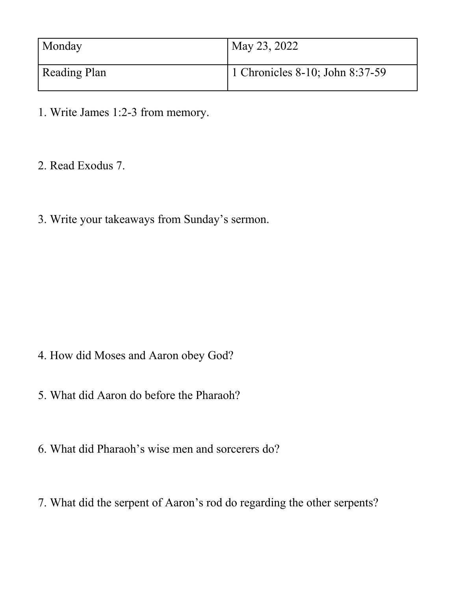| Monday       | May 23, 2022                    |
|--------------|---------------------------------|
| Reading Plan | 1 Chronicles 8-10; John 8:37-59 |

- 1. Write James 1:2-3 from memory.
- 2. Read Exodus 7.
- 3. Write your takeaways from Sunday's sermon.

- 4. How did Moses and Aaron obey God?
- 5. What did Aaron do before the Pharaoh?
- 6. What did Pharaoh's wise men and sorcerers do?
- 7. What did the serpent of Aaron's rod do regarding the other serpents?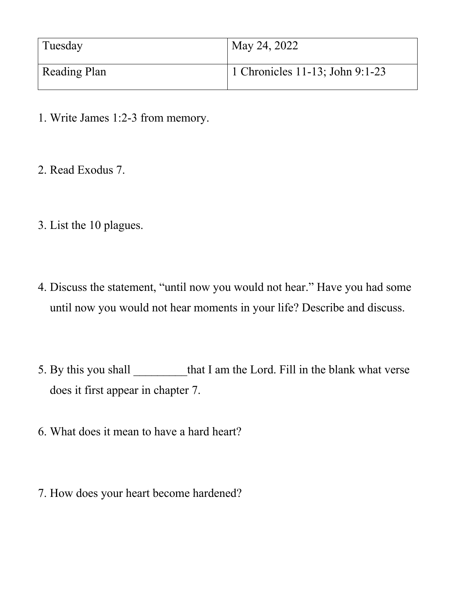| Tuesday      | May 24, 2022                    |
|--------------|---------------------------------|
| Reading Plan | 1 Chronicles 11-13; John 9:1-23 |

- 1. Write James 1:2-3 from memory.
- 2. Read Exodus 7.
- 3. List the 10 plagues.
- 4. Discuss the statement, "until now you would not hear." Have you had some until now you would not hear moments in your life? Describe and discuss.
- 5. By this you shall that I am the Lord. Fill in the blank what verse does it first appear in chapter 7.
- 6. What does it mean to have a hard heart?
- 7. How does your heart become hardened?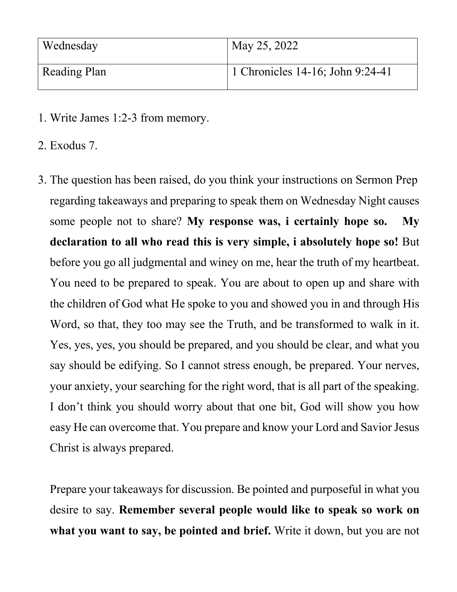| Wednesday    | May 25, 2022                     |
|--------------|----------------------------------|
| Reading Plan | 1 Chronicles 14-16; John 9:24-41 |

- 1. Write James 1:2-3 from memory.
- 2. Exodus 7.
- 3. The question has been raised, do you think your instructions on Sermon Prep regarding takeaways and preparing to speak them on Wednesday Night causes some people not to share? **My response was, i certainly hope so. My declaration to all who read this is very simple, i absolutely hope so!** But before you go all judgmental and winey on me, hear the truth of my heartbeat. You need to be prepared to speak. You are about to open up and share with the children of God what He spoke to you and showed you in and through His Word, so that, they too may see the Truth, and be transformed to walk in it. Yes, yes, yes, you should be prepared, and you should be clear, and what you say should be edifying. So I cannot stress enough, be prepared. Your nerves, your anxiety, your searching for the right word, that is all part of the speaking. I don't think you should worry about that one bit, God will show you how easy He can overcome that. You prepare and know your Lord and Savior Jesus Christ is always prepared.

Prepare your takeaways for discussion. Be pointed and purposeful in what you desire to say. **Remember several people would like to speak so work on what you want to say, be pointed and brief.** Write it down, but you are not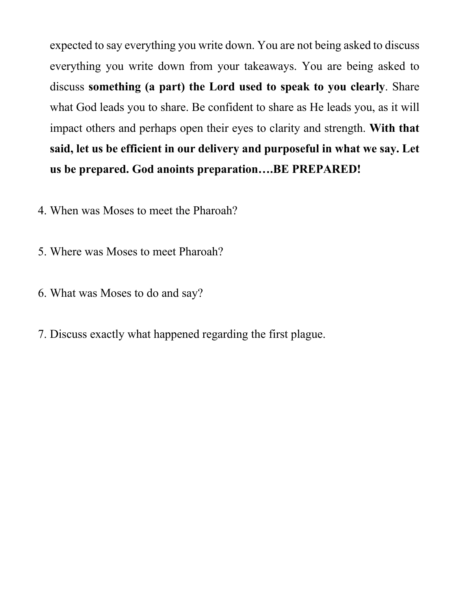expected to say everything you write down. You are not being asked to discuss everything you write down from your takeaways. You are being asked to discuss **something (a part) the Lord used to speak to you clearly**. Share what God leads you to share. Be confident to share as He leads you, as it will impact others and perhaps open their eyes to clarity and strength. **With that said, let us be efficient in our delivery and purposeful in what we say. Let us be prepared. God anoints preparation….BE PREPARED!**

- 4. When was Moses to meet the Pharoah?
- 5. Where was Moses to meet Pharoah?
- 6. What was Moses to do and say?
- 7. Discuss exactly what happened regarding the first plague.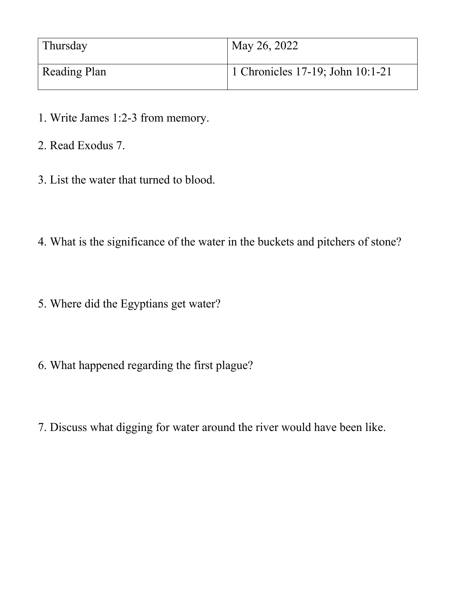| Thursday            | May 26, 2022                     |
|---------------------|----------------------------------|
| <b>Reading Plan</b> | 1 Chronicles 17-19; John 10:1-21 |

- 1. Write James 1:2-3 from memory.
- 2. Read Exodus 7.
- 3. List the water that turned to blood.
- 4. What is the significance of the water in the buckets and pitchers of stone?
- 5. Where did the Egyptians get water?
- 6. What happened regarding the first plague?
- 7. Discuss what digging for water around the river would have been like.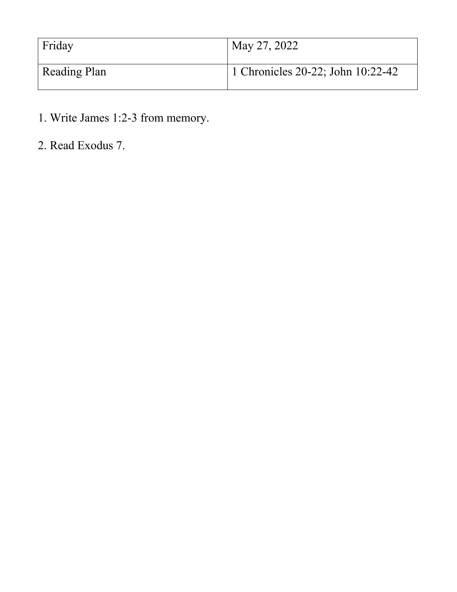| Friday       | May 27, 2022                      |
|--------------|-----------------------------------|
| Reading Plan | 1 Chronicles 20-22; John 10:22-42 |

- 1. Write James 1:2-3 from memory.
- 2. Read Exodus 7.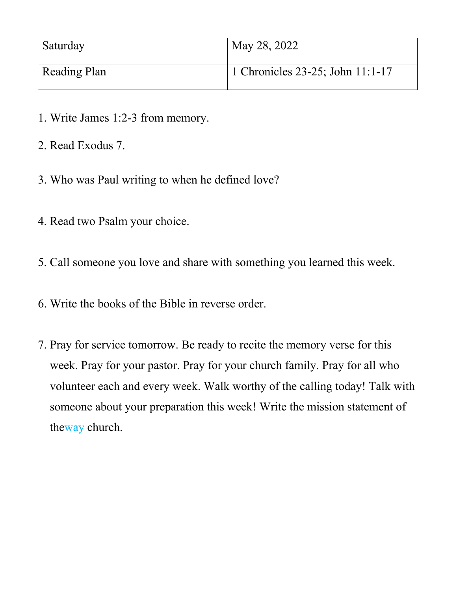| Saturday     | May 28, 2022                     |
|--------------|----------------------------------|
| Reading Plan | 1 Chronicles 23-25; John 11:1-17 |

- 1. Write James 1:2-3 from memory.
- 2. Read Exodus 7.
- 3. Who was Paul writing to when he defined love?
- 4. Read two Psalm your choice.
- 5. Call someone you love and share with something you learned this week.
- 6. Write the books of the Bible in reverse order.
- 7. Pray for service tomorrow. Be ready to recite the memory verse for this week. Pray for your pastor. Pray for your church family. Pray for all who volunteer each and every week. Walk worthy of the calling today! Talk with someone about your preparation this week! Write the mission statement of theway church.